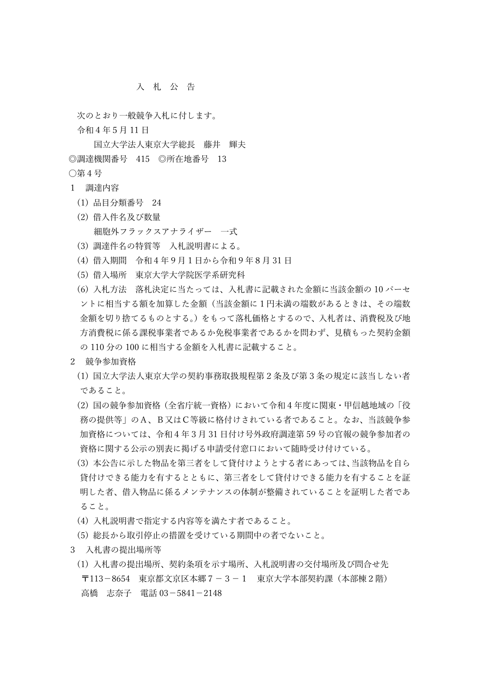## 入 札 公 告

次のとおり一般競争入札に付します。

令和4年5月 11 日

国立大学法人東京大学総長 藤井 輝夫 ◎調達機関番号 415 ◎所在地番号 13 ○第4号

- 1 調達内容
	- (1) 品目分類番号 24
	- (2) 借入件名及び数量 細胞外フラックスアナライザー 一式
	- (3) 調達件名の特質等 入札説明書による。
	- (4) 借入期間 令和4年9月1日から令和9年8月 31 日
	- (5) 借入場所 東京大学大学院医学系研究科
	- (6) 入札方法 落札決定に当たっては、入札書に記載された金額に当該金額の 10 パーセ ントに相当する額を加算した金額(当該金額に1円未満の端数があるときは、その端数 金額を切り捨てるものとする。)をもって落札価格とするので、入札者は、消費税及び地 方消費税に係る課税事業者であるか免税事業者であるかを問わず、見積もった契約金額 の 110 分の 100 に相当する金額を入札書に記載すること。
- 2 競争参加資格
	- (1) 国立大学法人東京大学の契約事務取扱規程第2条及び第3条の規定に該当しない者 であること。
	- (2) 国の競争参加資格(全省庁統一資格)において令和4年度に関東・甲信越地域の「役 務の提供等」のA、B又はC等級に格付けされている者であること。なお、当該競争参 加資格については、令和4年3月 31 日付け号外政府調達第 59 号の官報の競争参加者の 資格に関する公示の別表に掲げる申請受付窓口において随時受け付けている。
	- (3) 本公告に示した物品を第三者をして貸付けようとする者にあっては、当該物品を自ら 貸付けできる能力を有するとともに、第三者をして貸付けできる能力を有することを証 明した者、借入物品に係るメンテナンスの体制が整備されていることを証明した者であ ること。
	- (4) 入札説明書で指定する内容等を満たす者であること。
	- (5) 総長から取引停止の措置を受けている期間中の者でないこと。
- 3 入札書の提出場所等
	- (1) 入札書の提出場所、契約条項を示す場所、入札説明書の交付場所及び問合せ先 〒113-8654 東京都文京区本郷7-3-1 東京大学本部契約課(本部棟2階) 高橋 志奈子 電話 03-5841-2148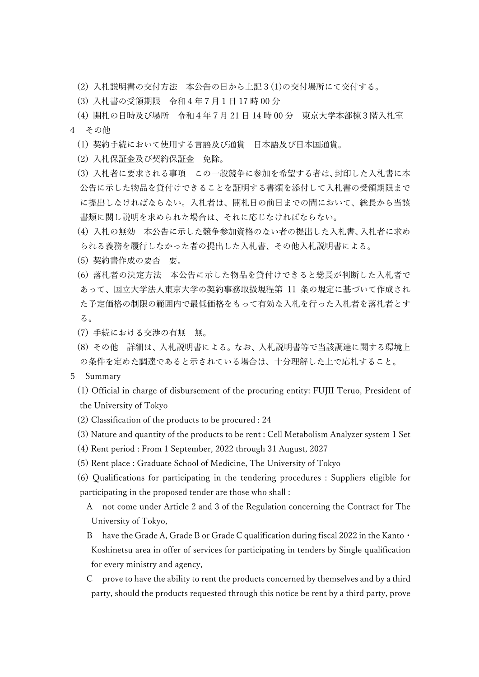- (2) 入札説明書の交付方法 本公告の日から上記3(1)の交付場所にて交付する。
- (3) 入札書の受領期限 令和4年7月1日 17 時 00 分
- (4) 開札の日時及び場所 令和4年7月 21 日 14 時 00 分 東京大学本部棟3階入札室 4 その他
	- (1) 契約手続において使用する言語及び通貨 日本語及び日本国通貨。
	- (2) 入札保証金及び契約保証金 免除。
	- (3) 入札者に要求される事項 この一般競争に参加を希望する者は、封印した入札書に本 公告に示した物品を貸付けできることを証明する書類を添付して入札書の受領期限まで に提出しなければならない。入札者は、開札日の前日までの間において、総長から当該 書類に関し説明を求められた場合は、それに応じなければならない。
	- (4) 入札の無効 本公告に示した競争参加資格のない者の提出した入札書、入札者に求め られる義務を履行しなかった者の提出した入札書、その他入札説明書による。
	- (5) 契約書作成の要否 要。
	- (6) 落札者の決定方法 本公告に示した物品を貸付けできると総長が判断した入札者で あって、国立大学法人東京大学の契約事務取扱規程第 11 条の規定に基づいて作成され た予定価格の制限の範囲内で最低価格をもって有効な入札を行った入札者を落札者とす る。
	- (7) 手続における交渉の有無 無。
	- (8) その他 詳細は、入札説明書による。なお、入札説明書等で当該調達に関する環境上 の条件を定めた調達であると示されている場合は、十分理解した上で応札すること。
- 5 Summary
	- (1) Official in charge of disbursement of the procuring entity: FUJII Teruo, President of the University of Tokyo
	- (2) Classification of the products to be procured : 24
	- (3) Nature and quantity of the products to be rent : Cell Metabolism Analyzer system 1 Set
	- (4) Rent period : From 1 September, 2022 through 31 August, 2027
	- (5) Rent place : Graduate School of Medicine, The University of Tokyo
	- (6) Qualifications for participating in the tendering procedures : Suppliers eligible for participating in the proposed tender are those who shall :
		- A not come under Article 2 and 3 of the Regulation concerning the Contract for The University of Tokyo,
		- B have the Grade A, Grade B or Grade C qualification during fiscal 2022 in the Kanto · Koshinetsu area in offer of services for participating in tenders by Single qualification for every ministry and agency,
		- C prove to have the ability to rent the products concerned by themselves and by a third party, should the products requested through this notice be rent by a third party, prove